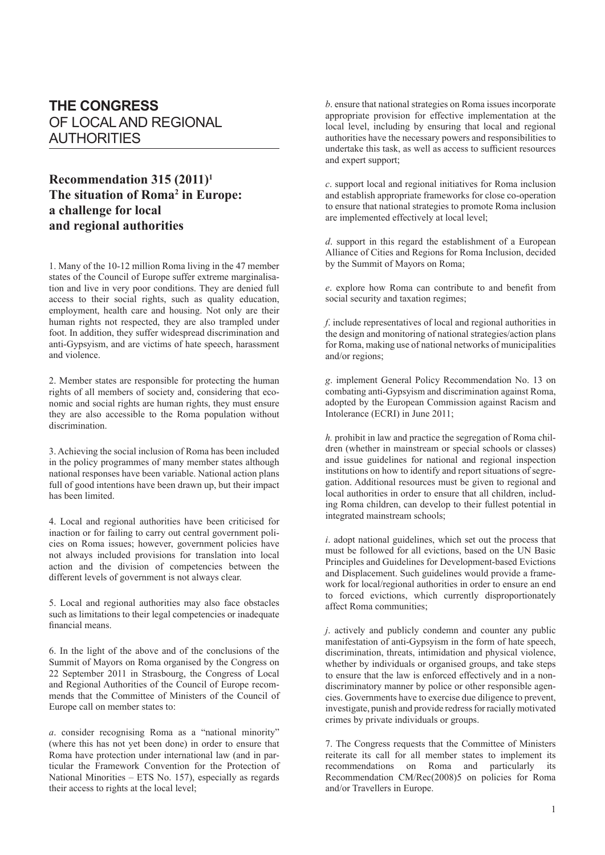## **THE CONGRESS** OF LOCAL AND REGIONAL AUTHORITIES

## **Recommendation 315 (2011)1 The situation of Roma2 in Europe: a challenge for local and regional authorities**

1. Many of the 10-12 million Roma living in the 47 member states of the Council of Europe suffer extreme marginalisation and live in very poor conditions. They are denied full access to their social rights, such as quality education, employment, health care and housing. Not only are their human rights not respected, they are also trampled under foot. In addition, they suffer widespread discrimination and anti-Gypsyism, and are victims of hate speech, harassment and violence.

2. Member states are responsible for protecting the human rights of all members of society and, considering that economic and social rights are human rights, they must ensure they are also accessible to the Roma population without discrimination.

3. Achieving the social inclusion of Roma has been included in the policy programmes of many member states although national responses have been variable. National action plans full of good intentions have been drawn up, but their impact has been limited.

4. Local and regional authorities have been criticised for inaction or for failing to carry out central government policies on Roma issues; however, government policies have not always included provisions for translation into local action and the division of competencies between the different levels of government is not always clear.

5. Local and regional authorities may also face obstacles such as limitations to their legal competencies or inadequate financial means.

6. In the light of the above and of the conclusions of the Summit of Mayors on Roma organised by the Congress on 22 September 2011 in Strasbourg, the Congress of Local and Regional Authorities of the Council of Europe recommends that the Committee of Ministers of the Council of Europe call on member states to:

*a*. consider recognising Roma as a "national minority" (where this has not yet been done) in order to ensure that Roma have protection under international law (and in particular the Framework Convention for the Protection of National Minorities – ETS No. 157), especially as regards their access to rights at the local level;

*b*. ensure that national strategies on Roma issues incorporate appropriate provision for effective implementation at the local level, including by ensuring that local and regional authorities have the necessary powers and responsibilities to undertake this task, as well as access to sufficient resources and expert support;

*c*. support local and regional initiatives for Roma inclusion and establish appropriate frameworks for close co-operation to ensure that national strategies to promote Roma inclusion are implemented effectively at local level;

*d*. support in this regard the establishment of a European Alliance of Cities and Regions for Roma Inclusion, decided by the Summit of Mayors on Roma;

*e*. explore how Roma can contribute to and benefit from social security and taxation regimes;

*f*. include representatives of local and regional authorities in the design and monitoring of national strategies/action plans for Roma, making use of national networks of municipalities and/or regions;

*g*. implement General Policy Recommendation No. 13 on combating anti-Gypsyism and discrimination against Roma, adopted by the European Commission against Racism and Intolerance (ECRI) in June 2011;

*h.* prohibit in law and practice the segregation of Roma children (whether in mainstream or special schools or classes) and issue guidelines for national and regional inspection institutions on how to identify and report situations of segregation. Additional resources must be given to regional and local authorities in order to ensure that all children, including Roma children, can develop to their fullest potential in integrated mainstream schools;

*i*. adopt national guidelines, which set out the process that must be followed for all evictions, based on the UN Basic Principles and Guidelines for Development-based Evictions and Displacement. Such guidelines would provide a framework for local/regional authorities in order to ensure an end to forced evictions, which currently disproportionately affect Roma communities;

*j*. actively and publicly condemn and counter any public manifestation of anti-Gypsyism in the form of hate speech, discrimination, threats, intimidation and physical violence, whether by individuals or organised groups, and take steps to ensure that the law is enforced effectively and in a nondiscriminatory manner by police or other responsible agencies. Governments have to exercise due diligence to prevent, investigate, punish and provide redress for racially motivated crimes by private individuals or groups.

7. The Congress requests that the Committee of Ministers reiterate its call for all member states to implement its recommendations on Roma and particularly its Recommendation CM/Rec(2008)5 on policies for Roma and/or Travellers in Europe.